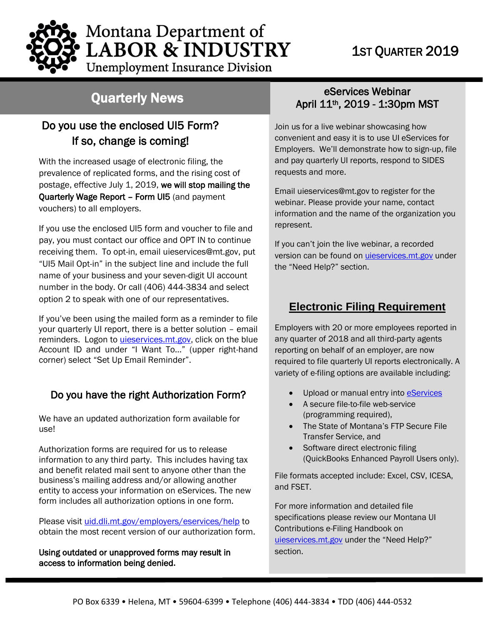## 1ST QUARTER 2019

Montana Department of **LABOR & INDUSTRY** 

# **Unemployment Insurance Division**

# Quarterly News

### Do you use the enclosed UI5 Form? If so, change is coming!

With the increased usage of electronic filing, the prevalence of replicated forms, and the rising cost of postage, effective July 1, 2019, we will stop mailing the Quarterly Wage Report – Form UI5 (and payment vouchers) to all employers.

If you use the enclosed UI5 form and voucher to file and pay, you must contact our office and OPT IN to continue receiving them. To opt-in, email [uieservices@mt.gov,](mailto:uieservices@mt.gov) put "UI5 Mail Opt-in" in the subject line and include the full name of your business and your seven-digit UI account number in the body. Or call (406) 444-3834 and select option 2 to speak with one of our representatives.

If you've been using the mailed form as a reminder to file your quarterly UI report, there is a better solution – email reminders. Logon to *uieservices.mt.gov*, click on the blue Account ID and under "I Want To…" (upper right-hand corner) select "Set Up Email Reminder".

#### Do you have the right Authorization Form?

We have an updated authorization form available for use!

Authorization forms are required for us to release information to any third party. This includes having tax and benefit related mail sent to anyone other than the and benent related mail sent to anyone other than tr<br>business's mailing address and/or allowing another entity to access your information on eServices. The new form includes all authorization options in one form.

Please visit [uid.dli.mt.gov/employers/eservices/help](http://uid.dli.mt.gov/employers/eservices/help) to obtain the most recent version of our authorization form.

Using outdated or unapproved forms may result in access to information being denied**.**

#### eServices Webinar April 11th, 2019 - 1:30pm MST

Join us for a live webinar showcasing how convenient and easy it is to use UI eServices for Employers. We'll demonstrate how to sign-up, file and pay quarterly UI reports, respond to SIDES requests and more.

Email [uieservices@mt.gov](mailto:uieservices@mt.gov) to register for the webinar. Please provide your name, contact information and the name of the organization you represent.

If you can't join the live webinar, a recorded version can be found on [uieservices.mt.gov](https://uieservices.mt.gov/_/) under the "Need Help?" section.

#### **Electronic Filing Requirement**

Employers with 20 or more employees reported in any quarter of 2018 and all third-party agents reporting on behalf of an employer, are now required to file quarterly UI reports electronically. A variety of e-filing options are available including:

- Upload or manual entry into **eServices**
- A secure file-to-file web-service (programming required),
- The State of Montana's FTP Secure File Transfer Service, and
- Software direct electronic filing (QuickBooks Enhanced Payroll Users only).

File formats accepted include: Excel, CSV, ICESA, and FSET.

For more information and detailed file specifications please review our Montana UI Contributions e-Filing Handbook on [uieservices.mt.gov](https://uieservices.mt.gov/_/) under the "Need Help?" section.